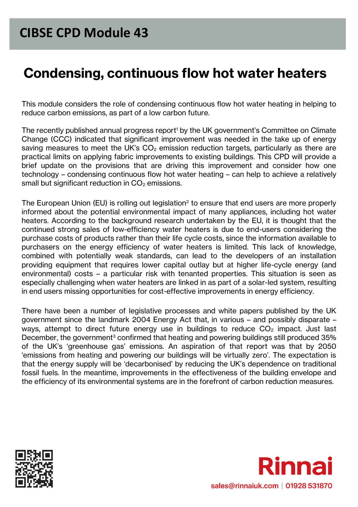# **Condensing, continuous flow hot water heaters**

This module considers the role of condensing continuous flow hot water heating in helping to reduce carbon emissions, as part of a low carbon future.

The recently published annual progress report<sup>1</sup> by the UK government's Committee on Climate Change (CCC) indicated that significant improvement was needed in the take up of energy saving measures to meet the UK's  $CO<sub>2</sub>$  emission reduction targets, particularly as there are practical limits on applying fabric improvements to existing buildings. This CPD will provide a brief update on the provisions that are driving this improvement and consider how one technology – condensing continuous flow hot water heating – can help to achieve a relatively small but significant reduction in  $CO<sub>2</sub>$  emissions.

The European Union (EU) is rolling out legislation<sup>2</sup> to ensure that end users are more properly informed about the potential environmental impact of many appliances, including hot water heaters. According to the background research undertaken by the EU, it is thought that the continued strong sales of low-efficiency water heaters is due to end-users considering the purchase costs of products rather than their life cycle costs, since the information available to purchasers on the energy efficiency of water heaters is limited. This lack of knowledge, combined with potentially weak standards, can lead to the developers of an installation providing equipment that requires lower capital outlay but at higher life-cycle energy (and environmental) costs – a particular risk with tenanted properties. This situation is seen as especially challenging when water heaters are linked in as part of a solar-led system, resulting in end users missing opportunities for cost-effective improvements in energy efficiency.

There have been a number of legislative processes and white papers published by the UK government since the landmark 2004 Energy Act that, in various – and possibly disparate – ways, attempt to direct future energy use in buildings to reduce  $CO<sub>2</sub>$  impact. Just last December, the government<sup>3</sup> confirmed that heating and powering buildings still produced 35% of the UK's 'greenhouse gas' emissions. An aspiration of that report was that by 2050 'emissions from heating and powering our buildings will be virtually zero'. The expectation is that the energy supply will be 'decarbonised' by reducing the UK's dependence on traditional fossil fuels. In the meantime, improvements in the effectiveness of the building envelope and the efficiency of its environmental systems are in the forefront of carbon reduction measures.



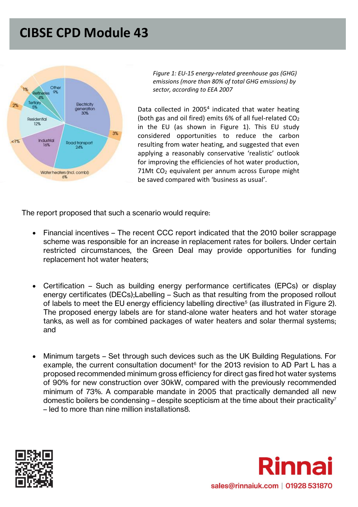

*Figure 1: EU-15 energy-related greenhouse gas (GHG) emissions (more than 80% of total GHG emissions) by sector, according to EEA 2007*

Data collected in 2005<sup>4</sup> indicated that water heating (both gas and oil fired) emits 6% of all fuel-related  $CO<sub>2</sub>$ in the EU (as shown in Figure 1). This EU study considered opportunities to reduce the carbon resulting from water heating, and suggested that even applying a reasonably conservative 'realistic' outlook for improving the efficiencies of hot water production, 71Mt CO<sup>2</sup> equivalent per annum across Europe might be saved compared with 'business as usual'.

The report proposed that such a scenario would require:

- Financial incentives The recent CCC report indicated that the 2010 boiler scrappage scheme was responsible for an increase in replacement rates for boilers. Under certain restricted circumstances, the Green Deal may provide opportunities for funding replacement hot water heaters;
- Certification Such as building energy performance certificates (EPCs) or display energy certificates (DECs);Labelling – Such as that resulting from the proposed rollout of labels to meet the EU energy efficiency labelling directive<sup>5</sup> (as illustrated in Figure 2). The proposed energy labels are for stand-alone water heaters and hot water storage tanks, as well as for combined packages of water heaters and solar thermal systems; and
- Minimum targets Set through such devices such as the UK Building Regulations. For example, the current consultation document<sup>6</sup> for the 2013 revision to AD Part L has a proposed recommended minimum gross efficiency for direct gas fired hot water systems of 90% for new construction over 30kW, compared with the previously recommended minimum of 73%. A comparable mandate in 2005 that practically demanded all new domestic boilers be condensing – despite scepticism at the time about their practicality<sup>7</sup> – led to more than nine million installations8.



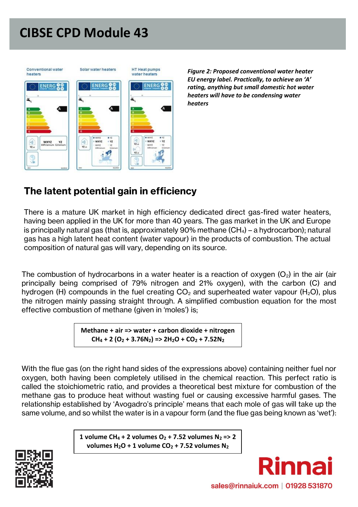

*Figure 2: Proposed conventional water heater EU energy label. Practically, to achieve an 'A' rating, anything but small domestic hot water heaters will have to be condensing water heaters*

### **The latent potential gain in efficiency**

There is a mature UK market in high efficiency dedicated direct gas-fired water heaters, having been applied in the UK for more than 40 years. The gas market in the UK and Europe is principally natural gas (that is, approximately 90% methane  $(CH_4)$  – a hydrocarbon); natural gas has a high latent heat content (water vapour) in the products of combustion. The actual composition of natural gas will vary, depending on its source.

The combustion of hydrocarbons in a water heater is a reaction of oxygen  $(O_2)$  in the air (air principally being comprised of 79% nitrogen and 21% oxygen), with the carbon (C) and hydrogen (H) compounds in the fuel creating  $CO<sub>2</sub>$  and superheated water vapour (H<sub>2</sub>O), plus the nitrogen mainly passing straight through. A simplified combustion equation for the most effective combustion of methane (given in 'moles') is;

> **Methane + air => water + carbon dioxide + nitrogen**  $CH_4 + 2 (O_2 + 3.76N_2)$  =>  $2H_2O + CO_2 + 7.52N_2$

With the flue gas (on the right hand sides of the expressions above) containing neither fuel nor oxygen, both having been completely utilised in the chemical reaction. This perfect ratio is called the stoichiometric ratio, and provides a theoretical best mixture for combustion of the methane gas to produce heat without wasting fuel or causing excessive harmful gases. The relationship established by 'Avogadro's principle' means that each mole of gas will take up the same volume, and so whilst the water is in a vapour form (and the flue gas being known as 'wet'):

> **1 volume CH<sup>4</sup> + 2 volumes O<sup>2</sup> + 7.52 volumes N<sup>2</sup> => 2**  volumes  $H_2O + 1$  volume  $CO_2 + 7.52$  volumes  $N_2$



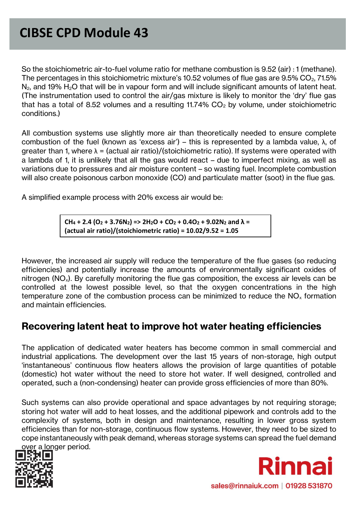So the stoichiometric air-to-fuel volume ratio for methane combustion is 9.52 (air) : 1 (methane). The percentages in this stoichiometric mixture's 10.52 volumes of flue gas are 9.5%  $CO<sub>2</sub>$ , 71.5%  $N_2$ , and 19%  $H_2O$  that will be in vapour form and will include significant amounts of latent heat. (The instrumentation used to control the air/gas mixture is likely to monitor the 'dry' flue gas that has a total of 8.52 volumes and a resulting 11.74%  $CO<sub>2</sub>$  by volume, under stoichiometric conditions.)

All combustion systems use slightly more air than theoretically needed to ensure complete combustion of the fuel (known as 'excess air') – this is represented by a lambda value, λ, of greater than 1, where  $\lambda = (actual air ratio)/(stoichiometric ratio)$ . If systems were operated with a lambda of 1, it is unlikely that all the gas would react – due to imperfect mixing, as well as variations due to pressures and air moisture content – so wasting fuel. Incomplete combustion will also create poisonous carbon monoxide (CO) and particulate matter (soot) in the flue gas.

A simplified example process with 20% excess air would be:

 $CH_4 + 2.4 (O_2 + 3.76N_2)$  =>  $2H_2O + CO_2 + 0.4O_2 + 9.02N_2$  and  $\lambda =$ **(actual air ratio)/(stoichiometric ratio) = 10.02/9.52 = 1.05**

However, the increased air supply will reduce the temperature of the flue gases (so reducing efficiencies) and potentially increase the amounts of environmentally significant oxides of nitrogen ( $NO<sub>x</sub>$ ). By carefully monitoring the flue gas composition, the excess air levels can be controlled at the lowest possible level, so that the oxygen concentrations in the high temperature zone of the combustion process can be minimized to reduce the  $NO<sub>x</sub>$  formation and maintain efficiencies.

#### **Recovering latent heat to improve hot water heating efficiencies**

The application of dedicated water heaters has become common in small commercial and industrial applications. The development over the last 15 years of non-storage, high output 'instantaneous' continuous flow heaters allows the provision of large quantities of potable (domestic) hot water without the need to store hot water. If well designed, controlled and operated, such a (non-condensing) heater can provide gross efficiencies of more than 80%.

Such systems can also provide operational and space advantages by not requiring storage; storing hot water will add to heat losses, and the additional pipework and controls add to the complexity of systems, both in design and maintenance, resulting in lower gross system efficiencies than for non-storage, continuous flow systems. However, they need to be sized to cope instantaneously with peak demand, whereas storage systems can spread the fuel demand over a longer period.



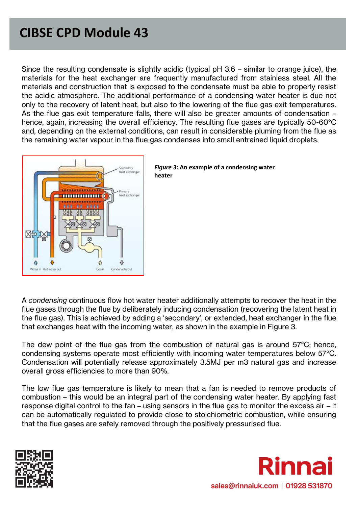Since the resulting condensate is slightly acidic (typical pH 3.6 – similar to orange juice), the materials for the heat exchanger are frequently manufactured from stainless steel. All the materials and construction that is exposed to the condensate must be able to properly resist the acidic atmosphere. The additional performance of a condensing water heater is due not only to the recovery of latent heat, but also to the lowering of the flue gas exit temperatures. As the flue gas exit temperature falls, there will also be greater amounts of condensation – hence, again, increasing the overall efficiency. The resulting flue gases are typically 50-60°C and, depending on the external conditions, can result in considerable pluming from the flue as the remaining water vapour in the flue gas condenses into small entrained liquid droplets.





A *condensing* continuous flow hot water heater additionally attempts to recover the heat in the flue gases through the flue by deliberately inducing condensation (recovering the latent heat in the flue gas). This is achieved by adding a 'secondary', or extended, heat exchanger in the flue that exchanges heat with the incoming water, as shown in the example in Figure 3.

The dew point of the flue gas from the combustion of natural gas is around 57°C; hence, condensing systems operate most efficiently with incoming water temperatures below 57°C. Condensation will potentially release approximately 3.5MJ per m3 natural gas and increase overall gross efficiencies to more than 90%.

The low flue gas temperature is likely to mean that a fan is needed to remove products of combustion – this would be an integral part of the condensing water heater. By applying fast response digital control to the fan – using sensors in the flue gas to monitor the excess air – it can be automatically regulated to provide close to stoichiometric combustion, while ensuring that the flue gases are safely removed through the positively pressurised flue.



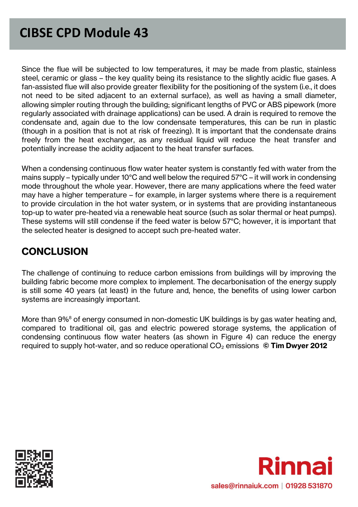Since the flue will be subjected to low temperatures, it may be made from plastic, stainless steel, ceramic or glass – the key quality being its resistance to the slightly acidic flue gases. A fan-assisted flue will also provide greater flexibility for the positioning of the system (i.e., it does not need to be sited adjacent to an external surface), as well as having a small diameter, allowing simpler routing through the building; significant lengths of PVC or ABS pipework (more regularly associated with drainage applications) can be used. A drain is required to remove the condensate and, again due to the low condensate temperatures, this can be run in plastic (though in a position that is not at risk of freezing). It is important that the condensate drains freely from the heat exchanger, as any residual liquid will reduce the heat transfer and potentially increase the acidity adjacent to the heat transfer surfaces.

When a condensing continuous flow water heater system is constantly fed with water from the mains supply – typically under 10°C and well below the required 57°C – it will work in condensing mode throughout the whole year. However, there are many applications where the feed water may have a higher temperature – for example, in larger systems where there is a requirement to provide circulation in the hot water system, or in systems that are providing instantaneous top-up to water pre-heated via a renewable heat source (such as solar thermal or heat pumps). These systems will still condense if the feed water is below 57°C; however, it is important that the selected heater is designed to accept such pre-heated water.

### **CONCLUSION**

The challenge of continuing to reduce carbon emissions from buildings will by improving the building fabric become more complex to implement. The decarbonisation of the energy supply is still some 40 years (at least) in the future and, hence, the benefits of using lower carbon systems are increasingly important.

More than 9%<sup>8</sup> of energy consumed in non-domestic UK buildings is by gas water heating and, compared to traditional oil, gas and electric powered storage systems, the application of condensing continuous flow water heaters (as shown in Figure 4) can reduce the energy required to supply hot-water, and so reduce operational CO<sub>2</sub> emissions © **Tim Dwyer 2012**